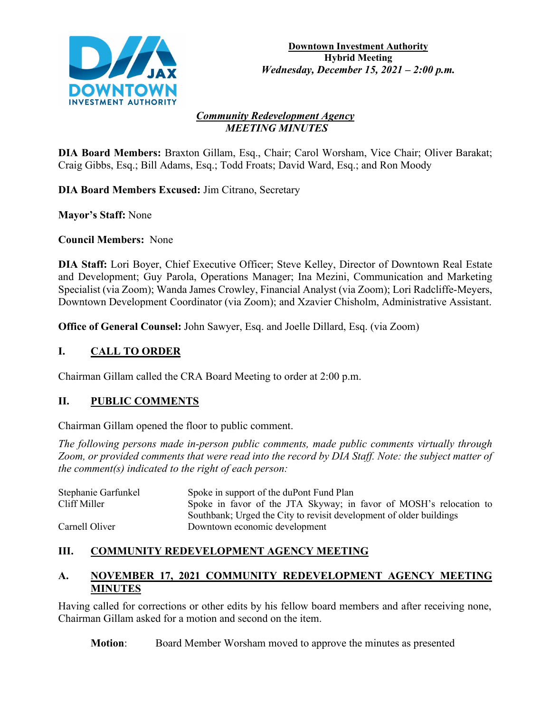

#### *Community Redevelopment Agency MEETING MINUTES*

**DIA Board Members:** Braxton Gillam, Esq., Chair; Carol Worsham, Vice Chair; Oliver Barakat; Craig Gibbs, Esq.; Bill Adams, Esq.; Todd Froats; David Ward, Esq.; and Ron Moody

**DIA Board Members Excused:** Jim Citrano, Secretary

**Mayor's Staff:** None

**Council Members:** None

**DIA Staff:** Lori Boyer, Chief Executive Officer; Steve Kelley, Director of Downtown Real Estate and Development; Guy Parola, Operations Manager; Ina Mezini, Communication and Marketing Specialist (via Zoom); Wanda James Crowley, Financial Analyst (via Zoom); Lori Radcliffe-Meyers, Downtown Development Coordinator (via Zoom); and Xzavier Chisholm, Administrative Assistant.

**Office of General Counsel:** John Sawyer, Esq. and Joelle Dillard, Esq. (via Zoom)

## **I. CALL TO ORDER**

Chairman Gillam called the CRA Board Meeting to order at 2:00 p.m.

### **II. PUBLIC COMMENTS**

Chairman Gillam opened the floor to public comment.

*The following persons made in-person public comments, made public comments virtually through Zoom, or provided comments that were read into the record by DIA Staff. Note: the subject matter of the comment(s) indicated to the right of each person:*

| Stephanie Garfunkel | Spoke in support of the duPont Fund Plan                            |  |  |  |  |
|---------------------|---------------------------------------------------------------------|--|--|--|--|
| Cliff Miller        | Spoke in favor of the JTA Skyway; in favor of MOSH's relocation to  |  |  |  |  |
|                     | Southbank; Urged the City to revisit development of older buildings |  |  |  |  |
| Carnell Oliver      | Downtown economic development                                       |  |  |  |  |

### **III. COMMUNITY REDEVELOPMENT AGENCY MEETING**

### **A. NOVEMBER 17, 2021 COMMUNITY REDEVELOPMENT AGENCY MEETING MINUTES**

Having called for corrections or other edits by his fellow board members and after receiving none, Chairman Gillam asked for a motion and second on the item.

**Motion**: Board Member Worsham moved to approve the minutes as presented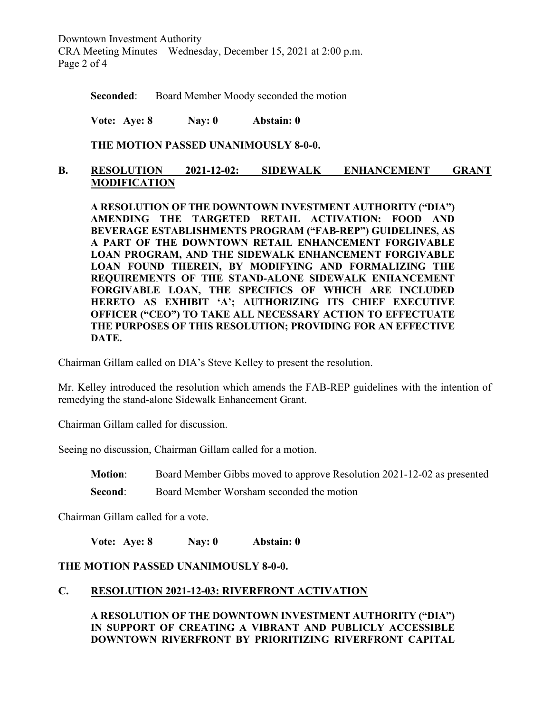Downtown Investment Authority CRA Meeting Minutes – Wednesday, December 15, 2021 at 2:00 p.m. Page 2 of 4

**Seconded:** Board Member Moody seconded the motion

**Vote: Aye: 8 Nay: 0 Abstain: 0**

**THE MOTION PASSED UNANIMOUSLY 8-0-0.**

### **B. RESOLUTION 2021-12-02: SIDEWALK ENHANCEMENT GRANT MODIFICATION**

**A RESOLUTION OF THE DOWNTOWN INVESTMENT AUTHORITY ("DIA") AMENDING THE TARGETED RETAIL ACTIVATION: FOOD AND BEVERAGE ESTABLISHMENTS PROGRAM ("FAB-REP") GUIDELINES, AS A PART OF THE DOWNTOWN RETAIL ENHANCEMENT FORGIVABLE LOAN PROGRAM, AND THE SIDEWALK ENHANCEMENT FORGIVABLE LOAN FOUND THEREIN, BY MODIFYING AND FORMALIZING THE REQUIREMENTS OF THE STAND-ALONE SIDEWALK ENHANCEMENT FORGIVABLE LOAN, THE SPECIFICS OF WHICH ARE INCLUDED HERETO AS EXHIBIT 'A'; AUTHORIZING ITS CHIEF EXECUTIVE OFFICER ("CEO") TO TAKE ALL NECESSARY ACTION TO EFFECTUATE THE PURPOSES OF THIS RESOLUTION; PROVIDING FOR AN EFFECTIVE DATE.**

Chairman Gillam called on DIA's Steve Kelley to present the resolution.

Mr. Kelley introduced the resolution which amends the FAB-REP guidelines with the intention of remedying the stand-alone Sidewalk Enhancement Grant.

Chairman Gillam called for discussion.

Seeing no discussion, Chairman Gillam called for a motion.

**Motion**: Board Member Gibbs moved to approve Resolution 2021-12-02 as presented

**Second:** Board Member Worsham seconded the motion

Chairman Gillam called for a vote.

**Vote: Aye: 8 Nay: 0 Abstain: 0**

### **THE MOTION PASSED UNANIMOUSLY 8-0-0.**

#### **C. RESOLUTION 2021-12-03: RIVERFRONT ACTIVATION**

**A RESOLUTION OF THE DOWNTOWN INVESTMENT AUTHORITY ("DIA") IN SUPPORT OF CREATING A VIBRANT AND PUBLICLY ACCESSIBLE DOWNTOWN RIVERFRONT BY PRIORITIZING RIVERFRONT CAPITAL**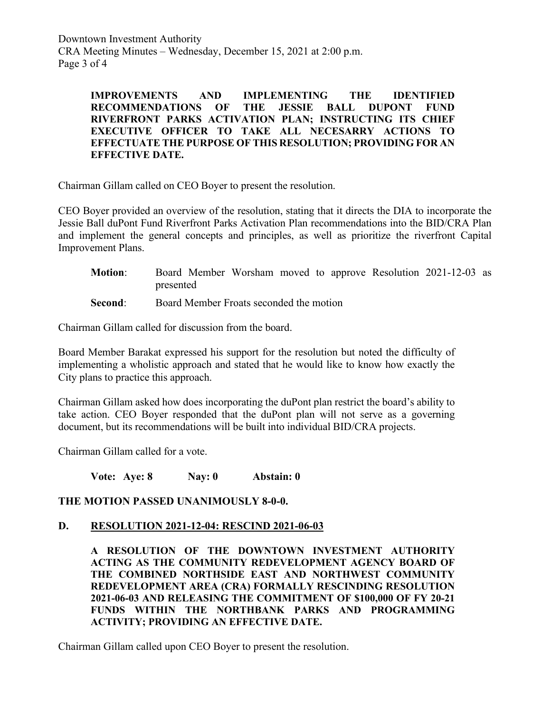Downtown Investment Authority CRA Meeting Minutes – Wednesday, December 15, 2021 at 2:00 p.m. Page 3 of 4

> **IMPROVEMENTS AND IMPLEMENTING THE IDENTIFIED RECOMMENDATIONS OF THE JESSIE BALL DUPONT FUND RIVERFRONT PARKS ACTIVATION PLAN; INSTRUCTING ITS CHIEF EXECUTIVE OFFICER TO TAKE ALL NECESARRY ACTIONS TO EFFECTUATE THE PURPOSE OF THIS RESOLUTION; PROVIDING FOR AN EFFECTIVE DATE.**

Chairman Gillam called on CEO Boyer to present the resolution.

CEO Boyer provided an overview of the resolution, stating that it directs the DIA to incorporate the Jessie Ball duPont Fund Riverfront Parks Activation Plan recommendations into the BID/CRA Plan and implement the general concepts and principles, as well as prioritize the riverfront Capital Improvement Plans.

| <b>Motion:</b> | Board Member Worsham moved to approve Resolution 2021-12-03 as |  |  |  |  |  |  |  |
|----------------|----------------------------------------------------------------|--|--|--|--|--|--|--|
|                | presented                                                      |  |  |  |  |  |  |  |
| Second:        | Board Member Froats seconded the motion                        |  |  |  |  |  |  |  |

Chairman Gillam called for discussion from the board.

Board Member Barakat expressed his support for the resolution but noted the difficulty of implementing a wholistic approach and stated that he would like to know how exactly the City plans to practice this approach.

Chairman Gillam asked how does incorporating the duPont plan restrict the board's ability to take action. CEO Boyer responded that the duPont plan will not serve as a governing document, but its recommendations will be built into individual BID/CRA projects.

Chairman Gillam called for a vote.

**Vote: Aye: 8 Nay: 0 Abstain: 0**

**THE MOTION PASSED UNANIMOUSLY 8-0-0.**

#### **D. RESOLUTION 2021-12-04: RESCIND 2021-06-03**

**A RESOLUTION OF THE DOWNTOWN INVESTMENT AUTHORITY ACTING AS THE COMMUNITY REDEVELOPMENT AGENCY BOARD OF THE COMBINED NORTHSIDE EAST AND NORTHWEST COMMUNITY REDEVELOPMENT AREA (CRA) FORMALLY RESCINDING RESOLUTION 2021-06-03 AND RELEASING THE COMMITMENT OF \$100,000 OF FY 20-21 FUNDS WITHIN THE NORTHBANK PARKS AND PROGRAMMING ACTIVITY; PROVIDING AN EFFECTIVE DATE.**

Chairman Gillam called upon CEO Boyer to present the resolution.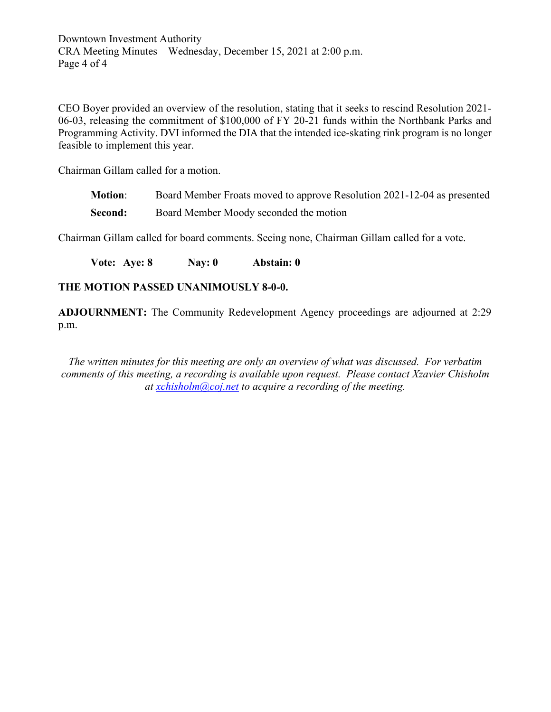Downtown Investment Authority CRA Meeting Minutes – Wednesday, December 15, 2021 at 2:00 p.m. Page 4 of 4

CEO Boyer provided an overview of the resolution, stating that it seeks to rescind Resolution 2021- 06-03, releasing the commitment of \$100,000 of FY 20-21 funds within the Northbank Parks and Programming Activity. DVI informed the DIA that the intended ice-skating rink program is no longer feasible to implement this year.

Chairman Gillam called for a motion.

**Motion**: Board Member Froats moved to approve Resolution 2021-12-04 as presented **Second:** Board Member Moody seconded the motion

Chairman Gillam called for board comments. Seeing none, Chairman Gillam called for a vote.

**Vote: Aye: 8 Nay: 0 Abstain: 0**

#### **THE MOTION PASSED UNANIMOUSLY 8-0-0.**

**ADJOURNMENT:** The Community Redevelopment Agency proceedings are adjourned at 2:29 p.m.

*The written minutes for this meeting are only an overview of what was discussed. For verbatim comments of this meeting, a recording is available upon request. Please contact Xzavier Chisholm at [xchisholm@coj.net](mailto:xchisholm@coj.net) to acquire a recording of the meeting.*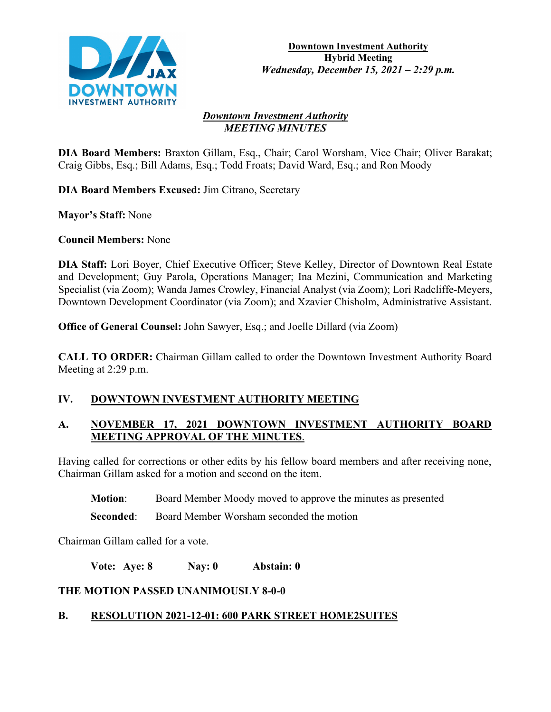

#### *Downtown Investment Authority MEETING MINUTES*

**DIA Board Members:** Braxton Gillam, Esq., Chair; Carol Worsham, Vice Chair; Oliver Barakat; Craig Gibbs, Esq.; Bill Adams, Esq.; Todd Froats; David Ward, Esq.; and Ron Moody

**DIA Board Members Excused:** Jim Citrano, Secretary

**Mayor's Staff:** None

**Council Members:** None

**DIA Staff:** Lori Boyer, Chief Executive Officer; Steve Kelley, Director of Downtown Real Estate and Development; Guy Parola, Operations Manager; Ina Mezini, Communication and Marketing Specialist (via Zoom); Wanda James Crowley, Financial Analyst (via Zoom); Lori Radcliffe-Meyers, Downtown Development Coordinator (via Zoom); and Xzavier Chisholm, Administrative Assistant.

**Office of General Counsel:** John Sawyer, Esq.; and Joelle Dillard (via Zoom)

**CALL TO ORDER:** Chairman Gillam called to order the Downtown Investment Authority Board Meeting at 2:29 p.m.

### **IV. DOWNTOWN INVESTMENT AUTHORITY MEETING**

# **A. NOVEMBER 17, 2021 DOWNTOWN INVESTMENT AUTHORITY BOARD MEETING APPROVAL OF THE MINUTES**.

Having called for corrections or other edits by his fellow board members and after receiving none, Chairman Gillam asked for a motion and second on the item.

**Motion**: Board Member Moody moved to approve the minutes as presented

**Seconded:** Board Member Worsham seconded the motion

Chairman Gillam called for a vote.

**Vote: Aye: 8 Nay: 0 Abstain: 0**

### **THE MOTION PASSED UNANIMOUSLY 8-0-0**

# **B. RESOLUTION 2021-12-01: 600 PARK STREET HOME2SUITES**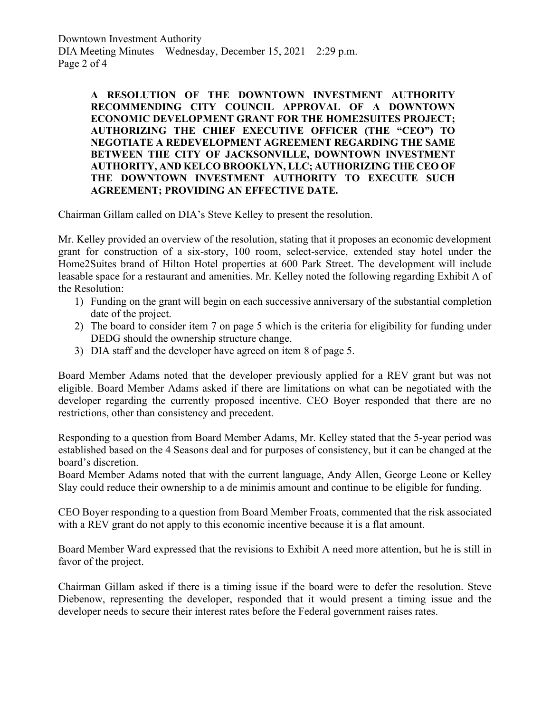Downtown Investment Authority DIA Meeting Minutes – Wednesday, December 15, 2021 – 2:29 p.m. Page 2 of 4

> **A RESOLUTION OF THE DOWNTOWN INVESTMENT AUTHORITY RECOMMENDING CITY COUNCIL APPROVAL OF A DOWNTOWN ECONOMIC DEVELOPMENT GRANT FOR THE HOME2SUITES PROJECT; AUTHORIZING THE CHIEF EXECUTIVE OFFICER (THE "CEO") TO NEGOTIATE A REDEVELOPMENT AGREEMENT REGARDING THE SAME BETWEEN THE CITY OF JACKSONVILLE, DOWNTOWN INVESTMENT AUTHORITY, AND KELCO BROOKLYN, LLC; AUTHORIZING THE CEO OF THE DOWNTOWN INVESTMENT AUTHORITY TO EXECUTE SUCH AGREEMENT; PROVIDING AN EFFECTIVE DATE.**

Chairman Gillam called on DIA's Steve Kelley to present the resolution.

Mr. Kelley provided an overview of the resolution, stating that it proposes an economic development grant for construction of a six-story, 100 room, select-service, extended stay hotel under the Home2Suites brand of Hilton Hotel properties at 600 Park Street. The development will include leasable space for a restaurant and amenities. Mr. Kelley noted the following regarding Exhibit A of the Resolution:

- 1) Funding on the grant will begin on each successive anniversary of the substantial completion date of the project.
- 2) The board to consider item 7 on page 5 which is the criteria for eligibility for funding under DEDG should the ownership structure change.
- 3) DIA staff and the developer have agreed on item 8 of page 5.

Board Member Adams noted that the developer previously applied for a REV grant but was not eligible. Board Member Adams asked if there are limitations on what can be negotiated with the developer regarding the currently proposed incentive. CEO Boyer responded that there are no restrictions, other than consistency and precedent.

Responding to a question from Board Member Adams, Mr. Kelley stated that the 5-year period was established based on the 4 Seasons deal and for purposes of consistency, but it can be changed at the board's discretion.

Board Member Adams noted that with the current language, Andy Allen, George Leone or Kelley Slay could reduce their ownership to a de minimis amount and continue to be eligible for funding.

CEO Boyer responding to a question from Board Member Froats, commented that the risk associated with a REV grant do not apply to this economic incentive because it is a flat amount.

Board Member Ward expressed that the revisions to Exhibit A need more attention, but he is still in favor of the project.

Chairman Gillam asked if there is a timing issue if the board were to defer the resolution. Steve Diebenow, representing the developer, responded that it would present a timing issue and the developer needs to secure their interest rates before the Federal government raises rates.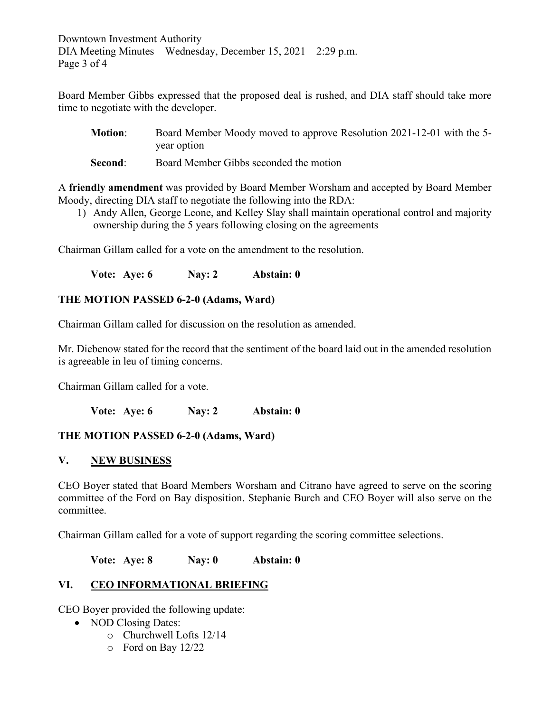Downtown Investment Authority DIA Meeting Minutes – Wednesday, December 15, 2021 – 2:29 p.m. Page 3 of 4

Board Member Gibbs expressed that the proposed deal is rushed, and DIA staff should take more time to negotiate with the developer.

| <b>Motion:</b> | Board Member Moody moved to approve Resolution 2021-12-01 with the 5- |
|----------------|-----------------------------------------------------------------------|
|                | year option                                                           |

**Second:** Board Member Gibbs seconded the motion

A **friendly amendment** was provided by Board Member Worsham and accepted by Board Member Moody, directing DIA staff to negotiate the following into the RDA:

1) Andy Allen, George Leone, and Kelley Slay shall maintain operational control and majority ownership during the 5 years following closing on the agreements

Chairman Gillam called for a vote on the amendment to the resolution.

**Vote: Aye: 6 Nay: 2 Abstain: 0**

### **THE MOTION PASSED 6-2-0 (Adams, Ward)**

Chairman Gillam called for discussion on the resolution as amended.

Mr. Diebenow stated for the record that the sentiment of the board laid out in the amended resolution is agreeable in leu of timing concerns.

Chairman Gillam called for a vote.

**Vote: Aye: 6 Nay: 2 Abstain: 0**

#### **THE MOTION PASSED 6-2-0 (Adams, Ward)**

#### **V. NEW BUSINESS**

CEO Boyer stated that Board Members Worsham and Citrano have agreed to serve on the scoring committee of the Ford on Bay disposition. Stephanie Burch and CEO Boyer will also serve on the committee.

Chairman Gillam called for a vote of support regarding the scoring committee selections.

**Vote: Aye: 8 Nay: 0 Abstain: 0**

### **VI. CEO INFORMATIONAL BRIEFING**

CEO Boyer provided the following update:

- NOD Closing Dates:
	- o Churchwell Lofts 12/14
	- o Ford on Bay 12/22